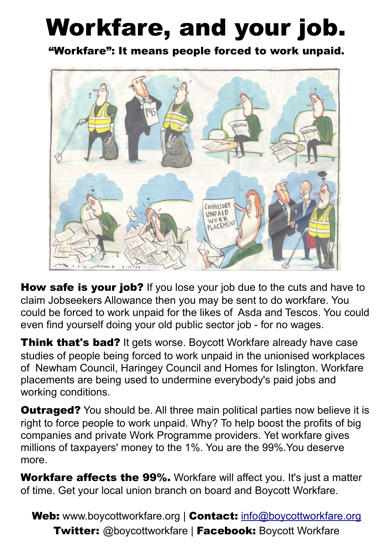# Workfare, and your job.

"Workfare": It means people forced to work unpaid.



How safe is your job? If you lose your job due to the cuts and have to claim Jobseekers Allowance then you may be sent to do workfare. You could be forced to work unpaid for the likes of Asda and Tescos. You could even find yourself doing your old public sector job - for no wages.

**Think that's bad?** It gets worse. Boycott Workfare already have case studies of people being forced to work unpaid in the unionised workplaces of Newham Council, Haringey Council and Homes for Islington. Workfare placements are being used to undermine everybody's paid jobs and working conditions.

**Outraged?** You should be. All three main political parties now believe it is right to force people to work unpaid. Why? To help boost the profits of big companies and private Work Programme providers. Yet workfare gives millions of taxpayers' money to the 1%. You are the 99%.You deserve more.

Workfare affects the 99%. Workfare will affect you. It's just a matter of time. Get your local union branch on board and Boycott Workfare.

Web: www.boycottworkfare.org | Contact: [info@boycottworkfare.org](mailto:info@boycottworkfare.org) Twitter: @boycottworkfare | Facebook: Boycott Workfare